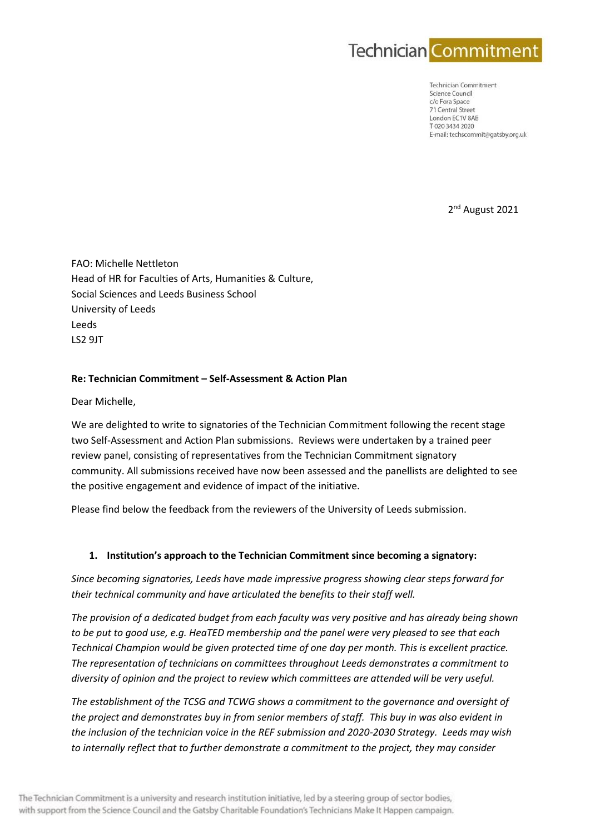

**Technician Commitment** Science Council c/o Fora Space 71 Central Street London FC1V 8AR T020 3434 2020 E-mail: techscommit@gatsby.org.uk

2<sup>nd</sup> August 2021

FAO: Michelle Nettleton Head of HR for Faculties of Arts, Humanities & Culture, Social Sciences and Leeds Business School University of Leeds Leeds LS2 9JT

## **Re: Technician Commitment – Self-Assessment & Action Plan**

Dear Michelle,

We are delighted to write to signatories of the Technician Commitment following the recent stage two Self-Assessment and Action Plan submissions. Reviews were undertaken by a trained peer review panel, consisting of representatives from the Technician Commitment signatory community. All submissions received have now been assessed and the panellists are delighted to see the positive engagement and evidence of impact of the initiative.

Please find below the feedback from the reviewers of the University of Leeds submission.

### **1. Institution's approach to the Technician Commitment since becoming a signatory:**

*Since becoming signatories, Leeds have made impressive progress showing clear steps forward for their technical community and have articulated the benefits to their staff well.*

*The provision of a dedicated budget from each faculty was very positive and has already being shown to be put to good use, e.g. HeaTED membership and the panel were very pleased to see that each Technical Champion would be given protected time of one day per month. This is excellent practice. The representation of technicians on committees throughout Leeds demonstrates a commitment to diversity of opinion and the project to review which committees are attended will be very useful.*

*The establishment of the TCSG and TCWG shows a commitment to the governance and oversight of the project and demonstrates buy in from senior members of staff. This buy in was also evident in the inclusion of the technician voice in the REF submission and 2020-2030 Strategy. Leeds may wish to internally reflect that to further demonstrate a commitment to the project, they may consider*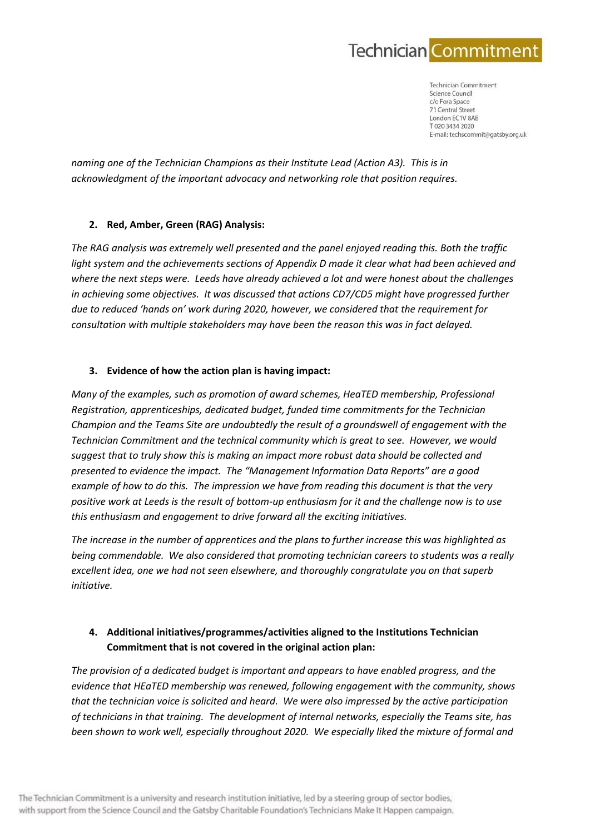

**Technician Commitment** Science Council c/o Fora Space 71 Central Street London FC1V 8AR T020 3434 2020 E-mail: techscommit@gatsby.org.uk

*naming one of the Technician Champions as their Institute Lead (Action A3). This is in acknowledgment of the important advocacy and networking role that position requires.*

## **2. Red, Amber, Green (RAG) Analysis:**

*The RAG analysis was extremely well presented and the panel enjoyed reading this. Both the traffic*  light system and the achievements sections of Appendix D made it clear what had been achieved and *where the next steps were. Leeds have already achieved a lot and were honest about the challenges in achieving some objectives. It was discussed that actions CD7/CD5 might have progressed further due to reduced 'hands on' work during 2020, however, we considered that the requirement for consultation with multiple stakeholders may have been the reason this was in fact delayed.*

## **3. Evidence of how the action plan is having impact:**

*Many of the examples, such as promotion of award schemes, HeaTED membership, Professional Registration, apprenticeships, dedicated budget, funded time commitments for the Technician Champion and the Teams Site are undoubtedly the result of a groundswell of engagement with the Technician Commitment and the technical community which is great to see. However, we would suggest that to truly show this is making an impact more robust data should be collected and presented to evidence the impact. The "Management Information Data Reports" are a good example of how to do this. The impression we have from reading this document is that the very positive work at Leeds is the result of bottom-up enthusiasm for it and the challenge now is to use this enthusiasm and engagement to drive forward all the exciting initiatives.*

*The increase in the number of apprentices and the plans to further increase this was highlighted as being commendable. We also considered that promoting technician careers to students was a really excellent idea, one we had not seen elsewhere, and thoroughly congratulate you on that superb initiative.*

# **4. Additional initiatives/programmes/activities aligned to the Institutions Technician Commitment that is not covered in the original action plan:**

*The provision of a dedicated budget is important and appears to have enabled progress, and the evidence that HEaTED membership was renewed, following engagement with the community, shows that the technician voice is solicited and heard. We were also impressed by the active participation of technicians in that training. The development of internal networks, especially the Teams site, has been shown to work well, especially throughout 2020. We especially liked the mixture of formal and*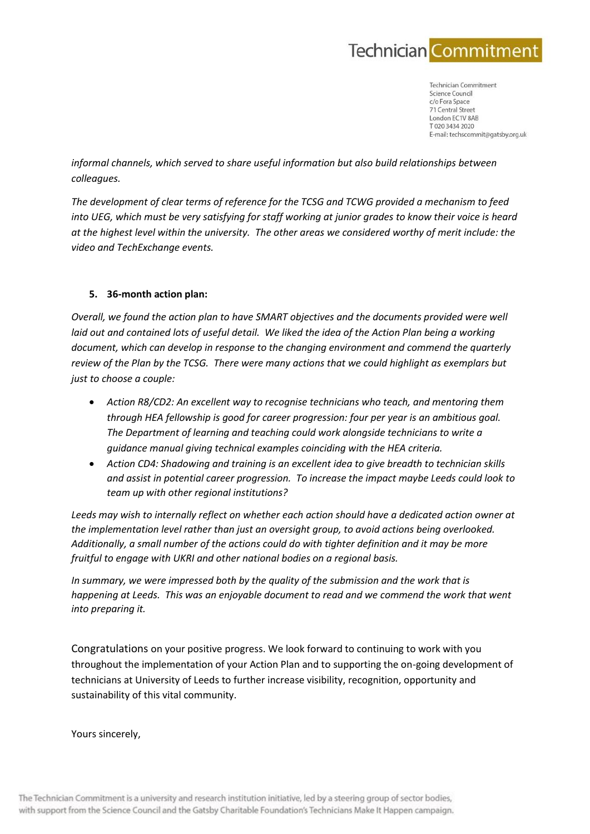

**Technician Commitment** Science Council c/o Fora Space 71 Central Street London FC1V 8AR T020 3434 2020 E-mail: techscommit@gatsby.org.uk

*informal channels, which served to share useful information but also build relationships between colleagues.*

*The development of clear terms of reference for the TCSG and TCWG provided a mechanism to feed into UEG, which must be very satisfying for staff working at junior grades to know their voice is heard at the highest level within the university. The other areas we considered worthy of merit include: the video and TechExchange events.*

## **5. 36-month action plan:**

*Overall, we found the action plan to have SMART objectives and the documents provided were well laid out and contained lots of useful detail. We liked the idea of the Action Plan being a working document, which can develop in response to the changing environment and commend the quarterly review of the Plan by the TCSG. There were many actions that we could highlight as exemplars but just to choose a couple:*

- *Action R8/CD2: An excellent way to recognise technicians who teach, and mentoring them through HEA fellowship is good for career progression: four per year is an ambitious goal. The Department of learning and teaching could work alongside technicians to write a guidance manual giving technical examples coinciding with the HEA criteria.*
- *Action CD4: Shadowing and training is an excellent idea to give breadth to technician skills and assist in potential career progression. To increase the impact maybe Leeds could look to team up with other regional institutions?*

*Leeds may wish to internally reflect on whether each action should have a dedicated action owner at the implementation level rather than just an oversight group, to avoid actions being overlooked. Additionally, a small number of the actions could do with tighter definition and it may be more fruitful to engage with UKRI and other national bodies on a regional basis.*

*In summary, we were impressed both by the quality of the submission and the work that is happening at Leeds. This was an enjoyable document to read and we commend the work that went into preparing it.*

Congratulations on your positive progress. We look forward to continuing to work with you throughout the implementation of your Action Plan and to supporting the on-going development of technicians at University of Leeds to further increase visibility, recognition, opportunity and sustainability of this vital community.

Yours sincerely,